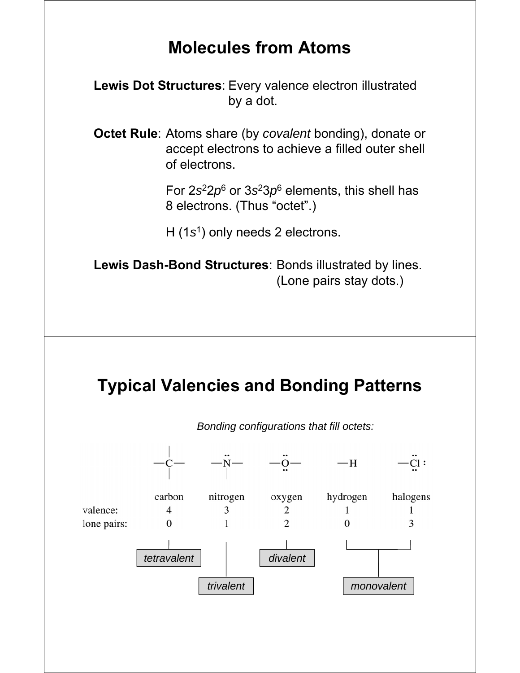## **Molecules from Atoms**

**Lewis Dot Structures**: Every valence electron illustrated by a dot.

**Octet Rule**: Atoms share (by *covalent* bonding), donate or accept electrons to achieve a filled outer shell of electrons.

> For 2*s*22*p*<sup>6</sup> or 3*s*23*p*<sup>6</sup> elements, this shell has 8 electrons. (Thus "octet".)

H (1*s*1) only needs 2 electrons.

**Lewis Dash-Bond Structures**: Bonds illustrated by lines. (Lone pairs stay dots.)

# **Typical Valencies and Bonding Patterns**



*Bonding configurations that fill octets:*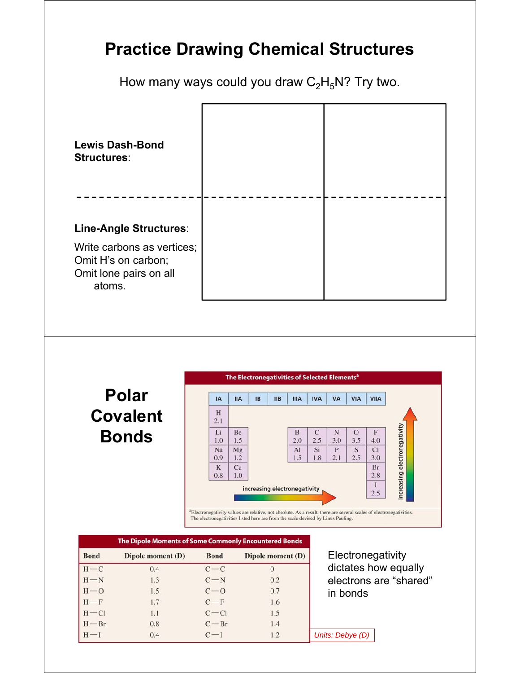## **Practice Drawing Chemical Structures**

How many ways could you draw  $C_2H_5N$ ? Try two.



**Polar Covalent Bonds**



The electronegativities listed here are from the scale devised by Linus Pauling.

| The Dipole Moments of Some Commonly Encountered Bonds |                   |             |                   |                        |
|-------------------------------------------------------|-------------------|-------------|-------------------|------------------------|
| <b>Bond</b>                                           | Dipole moment (D) | <b>Bond</b> | Dipole moment (D) | Electronegativity      |
| $H-C$                                                 | 0.4               | $c-c$       | $\Omega$          | dictates how equally   |
| $H - N$                                               | 1.3               | $C-N$       | 0.2               | electrons are "shared" |
| $H - O$                                               | 1.5               | $C - 0$     | 0.7               | in bonds               |
| $H-F$                                                 | 1.7               | $C-F$       | 1.6               |                        |
| $H - Cl$                                              | 1.1               | $C - C1$    | 1.5               |                        |
| $H - Br$                                              | 0.8               | $C - Br$    | 1.4               |                        |
| $H - I$                                               | 0.4               | $C-I$       | 1.2               | Units: Debye (D)       |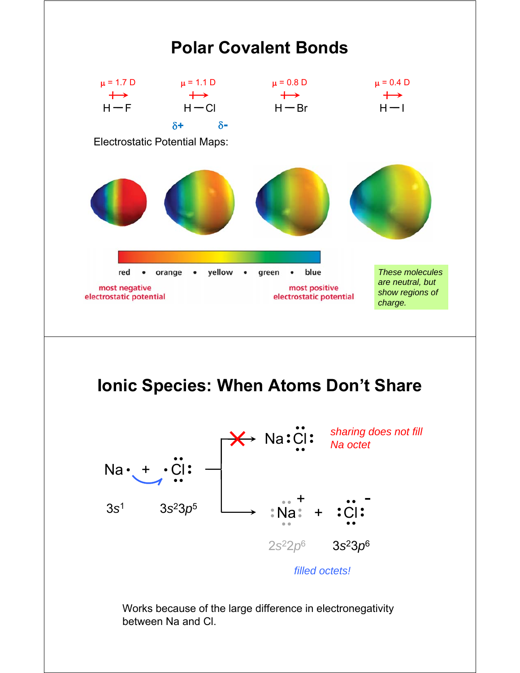

Works because of the large difference in electronegativity between Na and Cl.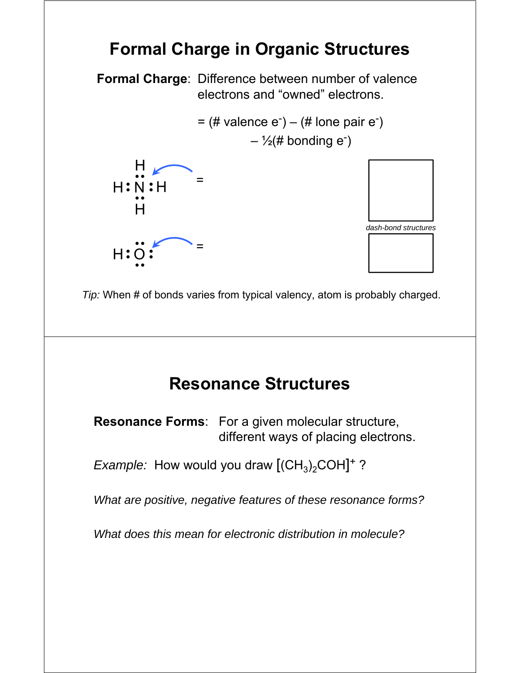# **Formal Charge in Organic Structures**

**Formal Charge**: Difference between number of valence electrons and "owned" electrons.

> $=$  (# valence  $e^-$ ) – (# lone pair  $e^-$ )  $-$  1/<sub>2</sub>(# bonding e<sup>-</sup>)





*Tip:* When # of bonds varies from typical valency, atom is probably charged.

#### **Resonance Structures**

**Resonance Forms**: For a given molecular structure, different ways of placing electrons.

*Example:* How would you draw  $[(CH<sub>3</sub>)<sub>2</sub>COH]<sup>+</sup>$ ?

*What are positive, negative features of these resonance forms?*

*What does this mean for electronic distribution in molecule?*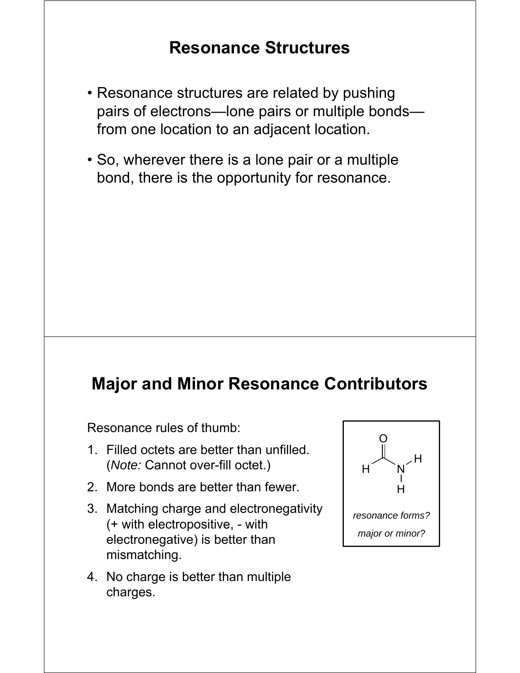## **Resonance Structures**

- Resonance structures are related by pushing pairs of electrons—lone pairs or multiple bonds from one location to an adjacent location.
- So, wherever there is a lone pair or a multiple bond, there is the opportunity for resonance.

#### **Major and Minor Resonance Contributors**

Resonance rules of thumb:

- 1. Filled octets are better than unfilled. (*Note:* Cannot over-fill octet.)
- 2. More bonds are better than fewer.
- 3. Matching charge and electronegativity (+ with electropositive, - with electronegative) is better than mismatching.
- 4. No charge is better than multiple charges.